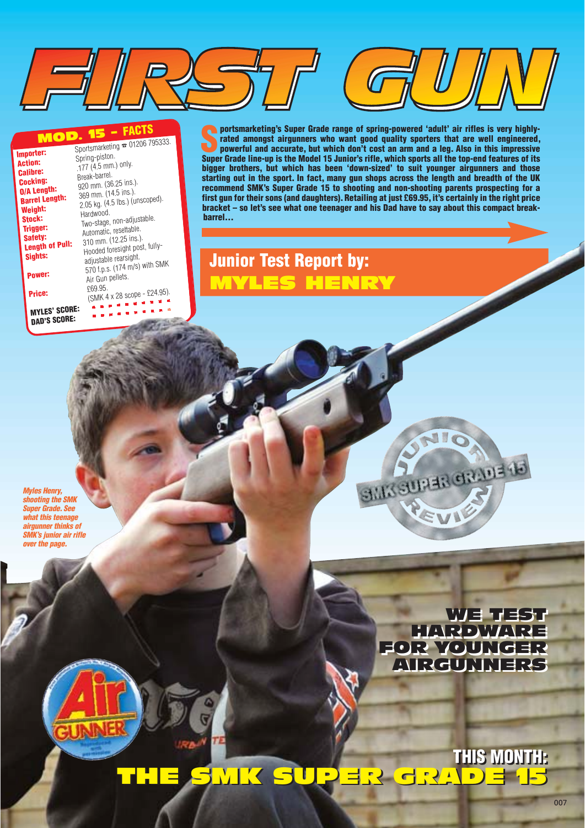#### MOD. 15 – **FACTS**

| Importer:                            | Sportsmarketing $\infty$ 01206 795333.<br>Spring-piston. |
|--------------------------------------|----------------------------------------------------------|
| <b>Action:</b><br><b>Calibre:</b>    | .177 (4.5 mm.) only.                                     |
| <b>Cocking:</b>                      | Break-barrel.<br>920 mm. (36.25 ins.).                   |
| 0/A Length:<br><b>Barrel Length:</b> | 369 mm. (14.5 ins.).<br>2.05 kg. (4.5 lbs.) (unscoped).  |
| Weight:<br>Stock:                    | Hardwood.                                                |
| Trigger:                             | Two-stage, non-adjustable.<br>Automatic, resettable.     |
| Safety:<br><b>Length of Pull:</b>    | 310 mm. (12.25 ins.).<br>Hooded foresight post, fully-   |
| Sights:                              | adjustable rearsight.<br>570 f.p.s. (174 m/s) with SMK   |
| Power:                               | Air Gun pellets.                                         |
| Price:                               | £69.95.<br>(SMK 4 x 28 scope - £24.95).                  |
| <b>MYLES' SCORE:</b>                 |                                                          |
| <b>DAD'S SCORE:</b>                  |                                                          |

**S** portsmarketing's Super Grade range of spring-powered 'adult' air rifles is very highly-<br>
rated amongst airgunners who want good quality sporters that are well engineered,<br>
powerful and accurate, but which don't cost an **rated amongst airgunners who want good quality sporters that are well engineered, powerful and accurate, but which don't cost an arm and a leg. Also in this impressive Super Grade line-up is the Model 15 Junior's rifle, which sports all the top-end features of its bigger brothers, but which has been 'down-sized' to suit younger airgunners and those starting out in the sport. In fact, many gun shops across the length and breadth of the UK recommend SMK's Super Grade 15 to shooting and non-shooting parents prospecting for a first gun for their sons (and daughters). Retailing at just £69.95, it's certainly in the right price bracket – so let's see what one teenager and his Dad have to say about this compact breakbarrel…**

## **Junior Test Report by:** MYLES HENRY

**Myles Henry, shooting the SMK Super Grade. See what this teenage airgunner thinks of SMK's junior air rifle over the page.**

> TGET ELY HARDWARE FOR YOUNGER FOR YOUNGER AIRGUNNERS AIRGUNNERS WE TEST HARDWARE

SILIX SURFIR CIRINE 18

**THIS MONTH: THIS MONTH:**  THE SMK SUPER GRADE 15 THE SMK SUPER GRADE 15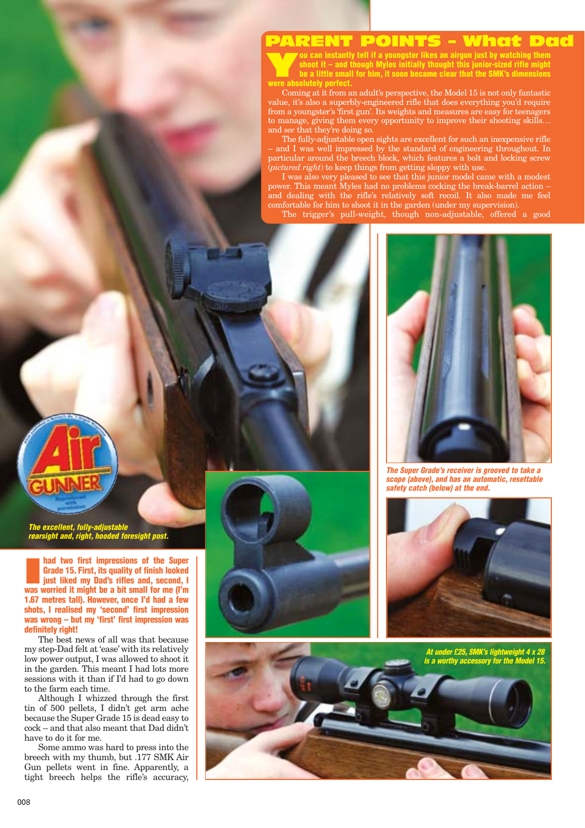#### PARENT POINTS – What Dad

**You can instantly tell if a youngster likes an airgun just by watching them**<br>shoot it – and though Myles initially thought this junior-sized rifle might<br>be a little small for him, it soon became clear that the SMK's dimen **shoot it – and though Myles initially thought this junior-sized rifle might be a little small for him, it soon became clear that the SMK's dimensions were absolutely perfect.**

Coming at it from an adult's perspective, the Model 15 is not only fantastic value, it's also a superbly-engineered rifle that does everything you'd require from a youngster's 'first gun'. Its weights and measures are easy for teenagers to manage, giving them every opportunity to improve their shooting skills… and *see* that they're doing so.

The fully-adjustable open sights are excellent for such an inexpensive rifle – and I was well impressed by the standard of engineering throughout. In particular around the breech block, which features a bolt and locking screw (*pictured right*) to keep things from getting sloppy with use.

I was also very pleased to see that this junior model came with a modest power. This meant Myles had no problems cocking the break-barrel action – and dealing with the rifle's relatively soft recoil. It also made me feel comfortable for him to shoot it in the garden (under my supervision).

The trigger's pull-weight, though non-adjustable, offered a good



**The Super Grade's receiver is grooved to take a scope (above), and has an automatic, resettable safety catch (below) at the end.**

**The excellent, fully-adjustable rearsight and, right, hooded foresight post.** 

**and two first impressions of the Super**<br>**Grade 15. First, its quality of finish looked**<br>just liked my Dad's rifles and, second, I<br>was worried it might be a bit small for me (I'm **had two first impressions of the Super Grade 15. First, its quality of finish looked just liked my Dad's rifles and, second, I 1.67 metres tall). However, once I'd had a few shots, I realised my 'second' first impression was wrong – but my 'first' first impression was definitely right!**

The best news of all was that because my step-Dad felt at 'ease' with its relatively low power output, I was allowed to shoot it in the garden. This meant I had lots more sessions with it than if I'd had to go down to the farm each time.

Although I whizzed through the first tin of 500 pellets, I didn't get arm ache because the Super Grade 15 is dead easy to cock – and that also meant that Dad didn't have to do it for me.

Some ammo was hard to press into the breech with my thumb, but .177 SMK Air Gun pellets went in fine. Apparently, a tight breech helps the rifle's accuracy,